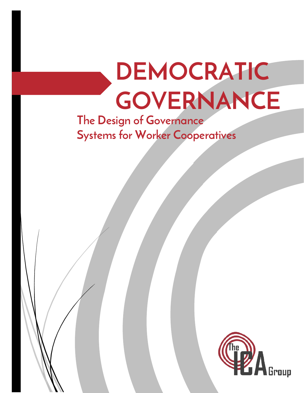# **DEMOCRATIC GOVERNANCE**

**The Design of Governance Systems for Worker Cooperatives**

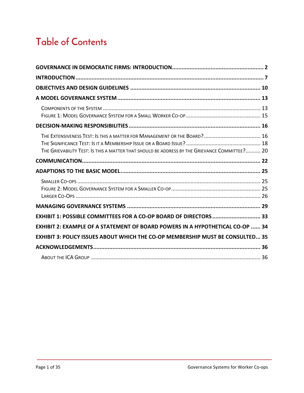# **Table of Contents**

| THE EXTENSIVENESS TEST: IS THIS A MATTER FOR MANAGEMENT OR THE BOARD? 16<br>THE GRIEVABILITY TEST: IS THIS A MATTER THAT SHOULD BE ADDRESS BY THE GRIEVANCE COMMITTEE? 20 |  |
|---------------------------------------------------------------------------------------------------------------------------------------------------------------------------|--|
|                                                                                                                                                                           |  |
|                                                                                                                                                                           |  |
|                                                                                                                                                                           |  |
|                                                                                                                                                                           |  |
|                                                                                                                                                                           |  |
| EXHIBIT 1: POSSIBLE COMMITTEES FOR A CO-OP BOARD OF DIRECTORS  33                                                                                                         |  |
| <b>EXHIBIT 2: EXAMPLE OF A STATEMENT OF BOARD POWERS IN A HYPOTHETICAL CO-OP  34</b>                                                                                      |  |
| <b>EXHIBIT 3: POLICY ISSUES ABOUT WHICH THE CO-OP MEMBERSHIP MUST BE CONSULTED 35</b>                                                                                     |  |
|                                                                                                                                                                           |  |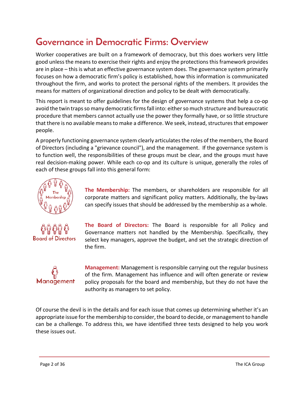## <span id="page-2-0"></span>**Governance in Democratic Firms: Overview**

Worker cooperatives are built on a framework of democracy, but this does workers very little good unless the means to exercise their rights and enjoy the protections this framework provides are in place – this is what an effective governance system does. The governance system primarily focuses on how a democratic firm's policy is established, how this information is communicated throughout the firm, and works to protect the personal rights of the members. It provides the means for matters of organizational direction and policy to be dealt with democratically.

This report is meant to offer guidelines for the design of governance systems that help a co-op avoid the twin traps so many democratic firms fall into: either so much structure and bureaucratic procedure that members cannot actually use the power they formally have, or so little structure that there is no available means to make a difference. We seek, instead, structures that empower people.

A properly functioning governance system clearly articulates the roles of the members, the Board of Directors (including a "grievance council"), and the management. If the governance system is to function well, the responsibilities of these groups must be clear, and the groups must have real decision-making power. While each co-op and its culture is unique, generally the roles of each of these groups fall into this general form:



**The Membership:** The members, or shareholders are responsible for all corporate matters and significant policy matters. Additionally, the by-laws can specify issues that should be addressed by the membership as a whole.



**The Board of Directors:** The Board is responsible for all Policy and Governance matters not handled by the Membership. Specifically, they select key managers, approve the budget, and set the strategic direction of the firm.



**Management:** Management is responsible carrying out the regular business of the firm. Management has influence and will often generate or review policy proposals for the board and membership, but they do not have the authority as managers to set policy.

Of course the devil is in the details and for each issue that comes up determining whether it's an appropriate issue for the membership to consider, the board to decide, or management to handle can be a challenge. To address this, we have identified three tests designed to help you work these issues out.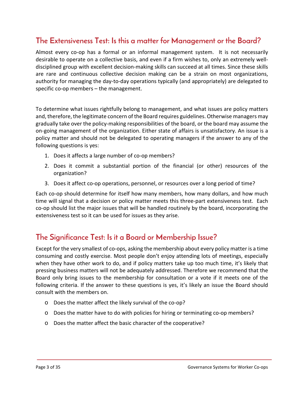## **The Extensiveness Test: Is this a matter for Management or the Board?**

Almost every co-op has a formal or an informal management system. It is not necessarily desirable to operate on a collective basis, and even if a firm wishes to, only an extremely welldisciplined group with excellent decision-making skills can succeed at all times. Since these skills are rare and continuous collective decision making can be a strain on most organizations, authority for managing the day-to-day operations typically (and appropriately) are delegated to specific co-op members – the management.

To determine what issues rightfully belong to management, and what issues are policy matters and, therefore, the legitimate concern of the Board requires guidelines. Otherwise managers may gradually take over the policy-making responsibilities of the board, or the board may assume the on-going management of the organization. Either state of affairs is unsatisfactory. An issue is a policy matter and should not be delegated to operating managers if the answer to any of the following questions is yes:

- 1. Does it affects a large number of co-op members?
- 2. Does it commit a substantial portion of the financial (or other) resources of the organization?
- 3. Does it affect co-op operations, personnel, or resources over a long period of time?

Each co-op should determine for itself how many members, how many dollars, and how much time will signal that a decision or policy matter meets this three-part extensiveness test. Each co-op should list the major issues that will be handled routinely by the board, incorporating the extensiveness test so it can be used for issues as they arise.

#### **The Significance Test: Is it a Board or Membership Issue?**

Except for the very smallest of co-ops, asking the membership about every policy matter is a time consuming and costly exercise. Most people don't enjoy attending lots of meetings, especially when they have other work to do, and if policy matters take up too much time, it's likely that pressing business matters will not be adequately addressed. Therefore we recommend that the Board only bring issues to the membership for consultation or a vote if it meets one of the following criteria. If the answer to these questions is yes, it's likely an issue the Board should consult with the members on.

- o Does the matter affect the likely survival of the co-op?
- o Does the matter have to do with policies for hiring or terminating co-op members?
- o Does the matter affect the basic character of the cooperative?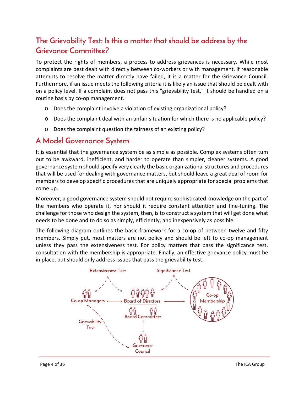## **The Grievability Test: Is this a matter that should be address by the Grievance Committee?**

To protect the rights of members, a process to address grievances is necessary. While most complaints are best dealt with directly between co-workers or with management, if reasonable attempts to resolve the matter directly have failed, it is a matter for the Grievance Council. Furthermore, if an issue meets the following criteria it is likely an issue that should be dealt with on a policy level. If a complaint does not pass this "grievability test," it should be handled on a routine basis by co-op management.

- o Does the complaint involve a violation of existing organizational policy?
- o Does the complaint deal with an unfair situation for which there is no applicable policy?
- o Does the complaint question the fairness of an existing policy?

#### **A Model Governance System**

It is essential that the governance system be as simple as possible. Complex systems often tum out to be awkward, inefficient, and harder to operate than simpler, cleaner systems. A good governance system should specify very clearly the basic organizational structures and procedures that will be used for dealing with governance matters, but should leave a great deal of room for members to develop specific procedures that are uniquely appropriate for special problems that come up.

Moreover, a good governance system should not require sophisticated knowledge on the part of the members who operate it, nor should it require constant attention and fine-tuning. The challenge for those who design the system, then, is to construct a system that will get done what needs to be done and to do so as simply, efficiently, and inexpensively as possible.

The following diagram outlines the basic framework for a co-op of between twelve and fifty members. Simply put, most matters are not policy and should be left to co-op management unless they pass the extensiveness test. For policy matters that pass the significance test, consultation with the membership is appropriate. Finally, an effective grievance policy must be in place, but should only address issues that pass the grievability test.

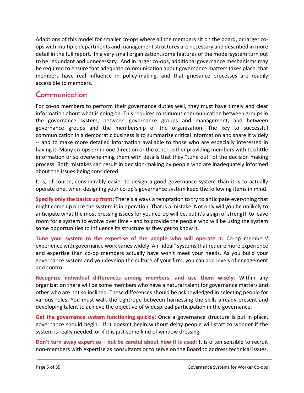Adaptions of this model for smaller co-ops where all the members sit on the board, or larger coops with multiple departments and management structures are necessary and described in more detail in the full report. In a very small organization, some features of the model system turn out to be redundant and unnecessary. And in larger co-ops, additional governance mechanisms may be required to ensure that adequate communication about governance matters takes place, that members have real influence in policy-making, and that grievance processes are readily accessible to members.

#### **Communication**

For co-op members to perform their governance duties well, they must have timely and clear information about what is going on. This requires continuous communication between groups in the governance system, between governance groups and management, and between governance groups and the membership of the organization. The key to successful communication in a democratic business is to summarize critical information and share it widely -- and to make more detailed information available to those who are especially interested in having it. Many co-ops err in one direction or the other, either providing members with too little information or so overwhelming them with details that they "tune out" of the decision making process. Both mistakes can result in decision-making by people who are inadequately informed about the issues being considered.

It is, of course, considerably easier to design a good governance system than it is to actually operate one, when designing your co-op's governance system keep the following items in mind.

**Specify only the basics up front:** There's always a temptation to try to anticipate everything that might come up once the system is in operation. That is a mistake. Not only will you be unlikely to anticipate what the most pressing issues for your co-op will be, but it's a sign of strength to leave room for a system to evolve over time - and to provide the people who will be using the system some opportunities to influence its structure as they get to know it.

**Tune your system to the expertise of the people who will operate it:** Co-op members' experience with governance work varies widely. An "ideal" systems that require more experience and expertise than co-op members actually have won't meet your needs. As you build your governance system and you develop the culture of your firm, you can add levels of engagement and control.

**Recognize individual differences among members, and use them wisely:** Within any organization there will be some members who have a natural talent for governance matters and other who are not so inclined. These differences should be acknowledged in selecting people for various roles. You must walk the tightrope between harnessing the skills already present and developing talent to achieve the objective of widespread participation in the governance.

**Get the governance system functioning quickly:** Once a governance structure is put in place, governance should begin. If it doesn't begin without delay people will start to wonder if the system is really needed, or if it is just some kind of window dressing.

**Don't turn away expertise – but be careful about how it is used:** It is often sensible to recruit non-members with expertise as consultants or to serve on the Board to address technical issues.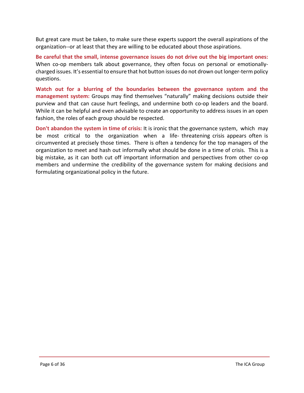But great care must be taken, to make sure these experts support the overall aspirations of the organization--or at least that they are willing to be educated about those aspirations.

**Be careful that the small, intense governance issues do not drive out the big important ones:** When co-op members talk about governance, they often focus on personal or emotionallycharged issues. It's essential to ensure that hot button issues do not drown out longer-term policy questions.

**Watch out for a blurring of the boundaries between the governance system and the management system:** Groups may find themselves "naturally" making decisions outside their purview and that can cause hurt feelings, and undermine both co-op leaders and the board. While it can be helpful and even advisable to create an opportunity to address issues in an open fashion, the roles of each group should be respected.

**Don't abandon the system in time of crisis:** It is ironic that the governance system, which may be most critical to the organization when a life- threatening crisis appears often is circumvented at precisely those times. There is often a tendency for the top managers of the organization to meet and hash out informally what should be done in a time of crisis. This is a big mistake, as it can both cut off important information and perspectives from other co-op members and undermine the credibility of the governance system for making decisions and formulating organizational policy in the future.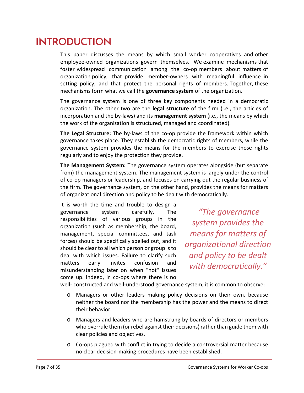# <span id="page-7-0"></span>**INTRODUCTION**

This paper discusses the means by which small worker cooperatives and other employee-owned organizations govern themselves. We examine mechanisms that foster widespread communication among the co-op members about matters of organization policy; that provide member-owners with meaningful influence in setting policy; and that protect the personal rights of members. Together, these mechanisms form what we call the **governance system** of the organization.

The governance system is one of three key components needed in a democratic organization. The other two are the **legal structure** of the firm (i.e., the articles of incorporation and the by-laws) and its **management system** (i.e., the means by which the work of the organization is structured, managed and coordinated).

**The Legal Structure:** The by-laws of the co-op provide the framework within which governance takes place. They establish the democratic rights of members, while the governance system provides the means for the members to exercise those rights regularly and to enjoy the protection they provide.

**The Management System:** The governance system operates alongside (but separate from) the management system. The management system is largely under the control of co-op managers or leadership, and focuses on carrying out the regular business of the firm. The governance system, on the other hand, provides the means for matters of organizational direction and policy to be dealt with democratically.

It is worth the time and trouble to design a governance system carefully. The responsibilities of various groups in the organization (such as membership, the board, management, special committees, and task forces) should be specifically spelled out, and it should be clear to all which person or group is to deal with which issues. Failure to clarify such matters early invites confusion and misunderstanding later on when "hot" issues come up. Indeed, in co-ops where there is no

*"The governance system provides the means for matters of organizational direction and policy to be dealt with democratically."*

well- constructed and well-understood governance system, it is common to observe:

- o Managers or other leaders making policy decisions on their own, because neither the board nor the membership has the power and the means to direct their behavior.
- o Managers and leaders who are hamstrung by boards of directors or members who overrule them (or rebel against their decisions) rather than guide them with clear policies and objectives.
- o Co-ops plagued with conflict in trying to decide a controversial matter because no clear decision-making procedures have been established.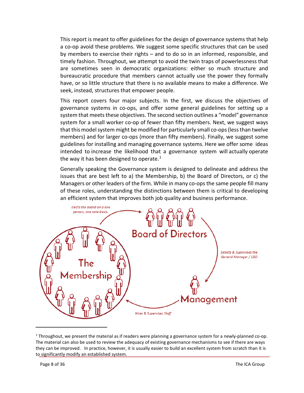This report is meant to offer guidelines for the design of governance systems that help a co-op avoid these problems. We suggest some specific structures that can be used by members to exercise their rights – and to do so in an informed, responsible, and timely fashion. Throughout, we attempt to avoid the twin traps of powerlessness that are sometimes seen in democratic organizations: either so much structure and bureaucratic procedure that members cannot actually use the power they formally have, or so little structure that there is no available means to make a difference. We seek, instead, structures that empower people.

This report covers four major subjects. In the first, we discuss the objectives of governance systems in co-ops, and offer some general guidelines for setting up a system that meets these objectives. The second section outlines a "model" governance system for a small worker co-op of fewer than fifty members. Next, we suggest ways that this model system might be modified for particularly small co-ops (less than twelve members) and for larger co-ops (more than fifty members). Finally, we suggest some guidelines for installing and managing governance systems. Here we offer some ideas intended to increase the likelihood that a governance system will actually operate the way it has been designed to operate. $1$ 

Generally speaking the Governance system is designed to delineate and address the issues that are best left to a) the Membership, b) the Board of Directors, or c) the Managers or other leaders of the firm. While in many co-ops the same people fill many of these roles, understanding the distinctions between them is critical to developing an efficient system that improves both job quality and business performance.



<span id="page-8-0"></span><sup>&</sup>lt;sup>1</sup> Throughout, we present the material as if readers were planning a governance system for a newly-planned co-op. The material can also be used to review the adequacy of existing governance mechanisms to see if there are ways they can be improved. In practice, however, it is usually easier to build an excellent system from scratch than it is to significantly modify an established system.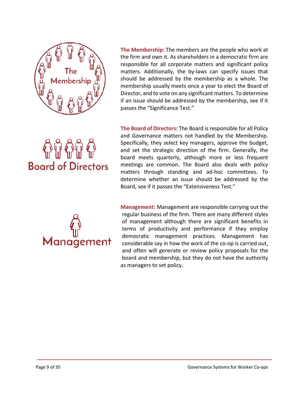

**Board of Directors** 

**The Membership:** The members are the people who work at the firm and own it. As shareholders in a democratic firm are responsible for all corporate matters and significant policy matters. Additionally, the by-laws can specify issues that should be addressed by the membership as a whole. The membership usually meets once a year to elect the Board of Director, and to vote on any significant matters. To determine if an issue should be addressed by the membership, see if it passes the "Significance Test."

**The Board of Directors:** The Board is responsible for all Policy and Governance matters not handled by the Membership. Specifically, they select key managers, approve the budget, and set the strategic direction of the firm. Generally, the board meets quarterly, although more or less frequent meetings are common. The Board also deals with policy matters through standing and ad-hoc committees. To determine whether an issue should be addressed by the Board, see if it passes the "Extensiveness Test."



**Management:** Management are responsible carrying out the regular business of the firm. There are many different styles of management although there are significant benefits in terms of productivity and performance if they employ democratic management practices. Management has considerable say in how the work of the co-op is carried out, and often will generate or review policy proposals for the board and membership, but they do not have the authority as managers to set policy.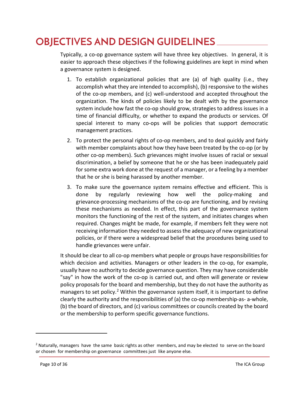# <span id="page-10-0"></span>**OBJECTIVES AND DESIGN GUIDELINES**

Typically, a co-op governance system will have three key objectives. In general, it is easier to approach these objectives if the following guidelines are kept in mind when a governance system is designed.

- 1. To establish organizational policies that are (a) of high quality (i.e., they accomplish what they are intended to accomplish), (b) responsive to the wishes of the co-op members, and (c) well-understood and accepted throughout the organization. The kinds of policies likely to be dealt with by the governance system include how fast the co-op should grow, strategies to address issues in a time of financial difficulty, or whether to expand the products or services. Of special interest to many co-ops will be policies that support democratic management practices.
- 2. To protect the personal rights of co-op members, and to deal quickly and fairly with member complaints about how they have been treated by the co-op (or by other co-op members). Such grievances might involve issues of racial or sexual discrimination, a belief by someone that he or she has been inadequately paid for some extra work done at the request of a manager, or a feeling by a member that he or she is being harassed by another member.
- 3. To make sure the governance system remains effective and efficient. This is done by regularly reviewing how well the policy-making and grievance-processing mechanisms of the co-op are functioning, and by revising these mechanisms as needed. In effect, this part of the governance system monitors the functioning of the rest of the system, and initiates changes when required. Changes might be made, for example, if members felt they were not receiving information they needed to assess the adequacy of new organizational policies, or if there were a widespread belief that the procedures being used to handle grievances were unfair.

It should be clear to all co-op members what people or groups have responsibilities for which decision and activities. Managers or other leaders in the co-op, for example, usually have no authority to decide governance question. They may have considerable "say" in how the work of the co-op is carried out, and often will generate or review policy proposals for the board and membership, but they do not have the authority as managers to set policy.<sup>[2](#page-10-1)</sup> Within the governance system itself, it is important to define clearly the authority and the responsibilities of (a) the co-op membership-as- a-whole, (b) the board of directors, and (c) various committees or councils created by the board or the membership to perform specific governance functions.

<span id="page-10-1"></span> $2$  Naturally, managers have the same basic rights as other members, and may be elected to serve on the board or chosen for membership on governance committees just like anyone else.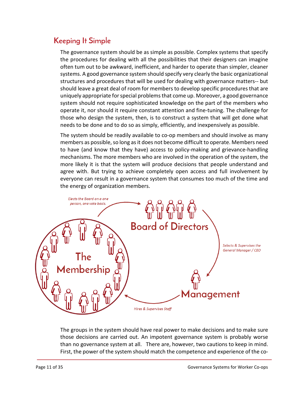## **Keeping It Simple**

The governance system should be as simple as possible. Complex systems that specify the procedures for dealing with all the possibilities that their designers can imagine often tum out to be awkward, inefficient, and harder to operate than simpler, cleaner systems. A good governance system should specify very clearly the basic organizational structures and procedures that will be used for dealing with governance matters-- but should leave a great deal of room for members to develop specific procedures that are uniquely appropriate for special problems that come up. Moreover, a good governance system should not require sophisticated knowledge on the part of the members who operate it, nor should it require constant attention and fine-tuning. The challenge for those who design the system, then, is to construct a system that will get done what needs to be done and to do so as simply, efficiently, and inexpensively as possible.

The system should be readily available to co-op members and should involve as many members as possible, so long as it does not become difficult to operate. Members need to have (and know that they have) access to policy-making and grievance-handling mechanisms. The more members who are involved in the operation of the system, the more likely it is that the system will produce decisions that people understand and agree with. But trying to achieve completely open access and full involvement by everyone can result in a governance system that consumes too much of the time and the energy of organization members.



The groups in the system should have real power to make decisions and to make sure those decisions are carried out. An impotent governance system is probably worse than no governance system at all. There are, however, two cautions to keep in mind. First, the power of the system should match the competence and experience of the co-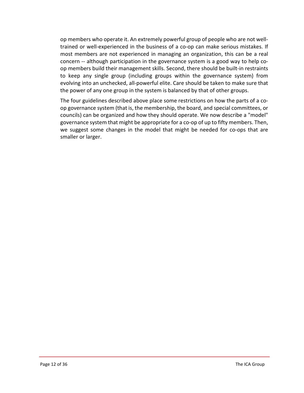op members who operate it. An extremely powerful group of people who are not welltrained or well-experienced in the business of a co-op can make serious mistakes. If most members are not experienced in managing an organization, this can be a real concern -- although participation in the governance system is a good way to help coop members build their management skills. Second, there should be built-in restraints to keep any single group (including groups within the governance system) from evolving into an unchecked, all-powerful elite. Care should be taken to make sure that the power of any one group in the system is balanced by that of other groups.

The four guidelines described above place some restrictions on how the parts of a coop governance system (that is, the membership, the board, and special committees, or councils) can be organized and how they should operate. We now describe a "model" governance system that might be appropriate for a co-op of up to fifty members. Then, we suggest some changes in the model that might be needed for co-ops that are smaller or larger.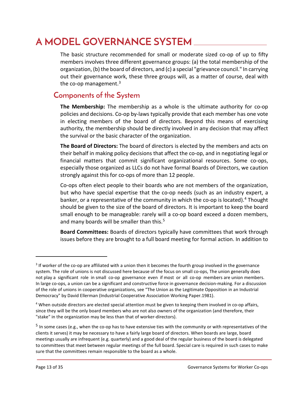# <span id="page-13-0"></span>**A MODEL GOVERNANCE SYSTEM**

The basic structure recommended for small or moderate sized co-op of up to fifty members involves three different governance groups: (a) the total membership of the organization, (b) the board of directors, and (c) a special "grievance council." In carrying out their governance work, these three groups will, as a matter of course, deal with the co-op management. $3$ 

#### <span id="page-13-1"></span>**Components of the System**

**The Membership:** The membership as a whole is the ultimate authority for co-op policies and decisions. Co-op by-laws typically provide that each member has one vote in electing members of the board of directors. Beyond this means of exercising authority, the membership should be directly involved in any decision that may affect the survival or the basic character of the organization.

**The Board of Directors:** The board of directors is elected by the members and acts on their behalf in making policy decisions that affect the co-op, and in negotiating legal or financial matters that commit significant organizational resources. Some co-ops, especially those organized as LLCs do not have formal Boards of Directors, we caution strongly against this for co-ops of more than 12 people.

Co-ops often elect people to their boards who are not members of the organization, but who have special expertise that the co-op needs (such as an industry expert, a banker, or a representative of the community in which the co-op is located).<sup>[4](#page-13-3)</sup> Thought should be given to the size of the board of directors. It is important to keep the board small enough to be manageable: rarely will a co-op board exceed a dozen members, and many boards will be smaller than this.<sup>[5](#page-13-4)</sup>

**Board Committees:** Boards of directors typically have committees that work through issues before they are brought to a full board meeting for formal action. In addition to

<span id="page-13-2"></span><sup>&</sup>lt;sup>3</sup> If worker of the co-op are affiliated with a union then it becomes the fourth group involved in the governance system. The role of unions is not discussed here because of the focus on small co-ops, The union generally does not play a significant role in small co-op governance even if most or all co-op members are union members. In large co-ops, a union can be a significant and constructive force in governance decision-making. For a discussion of the role of unions in cooperative organizations, see "The Union as the Legitimate Opposition in an Industrial Democracy" by David Ellerman (Industrial Cooperative Association Working Paper.1981).

<span id="page-13-3"></span><sup>4</sup> When outside directors are elected special attention must be given to keeping them involved in co-op affairs, since they will be the only board members who are not also owners of the organization (and therefore, their "stake" in the organization may be less than that of worker-directors).

<span id="page-13-4"></span><sup>5</sup> In some cases (e.g., when the co-op has to have extensive ties with the community or with representatives of the clients it serves) it may be necessary to have a fairly large board of directors. When boards are large, board meetings usually are infrequent (e.g. quarterly) and a good deal of the regular business of the board is delegated to committees that meet between regular meetings of the full board. Special care is required in such cases to make sure that the committees remain responsible to the board as a whole.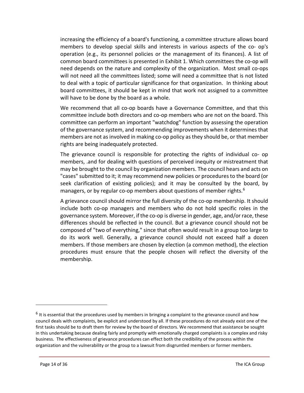increasing the efficiency of a board's functioning, a committee structure allows board members to develop special skills and interests in various aspects of the co- op's operation (e.g., its personnel policies or the management of its finances). A list of common board committees is presented in Exhibit 1. Which committees the co-op will need depends on the nature and complexity of the organization. Most small co-ops will not need all the committees listed; some will need a committee that is not listed to deal with a topic of particular significance for that organization. In thinking about board committees, it should be kept in mind that work not assigned to a committee will have to be done by the board as a whole.

We recommend that all co-op boards have a Governance Committee, and that this committee include both directors and co-op members who are not on the board. This committee can perform an important "watchdog" function by assessing the operation of the governance system, and recommending improvements when it determines that members are not as involved in making co-op policy as they should be, or that member rights are being inadequately protected.

The grievance council is responsible for protecting the rights of individual co- op members, .and for dealing with questions of perceived inequity or mistreatment that may be brought to the council by organization members. The council hears and acts on "cases" submitted to it; it may recommend new policies or procedures to the board (or seek clarification of existing policies); and it may be consulted by the board, by managers, or by regular co-op members about questions of member rights.<sup>[6](#page-14-0)</sup>

A grievance council should mirror the full diversity of the co-op membership. It should include both co-op managers and members who do not hold specific roles in the governance system. Moreover, if the co-op is diverse in gender, age, and/or race, these differences should be reflected in the council. But a grievance council should not be composed of "two of everything," since that often would result in a group too large to do its work well. Generally, a grievance council should not exceed half a dozen members. If those members are chosen by election (a common method), the election procedures must ensure that the people chosen will reflect the diversity of the membership.

<span id="page-14-0"></span> $6$  It is essential that the procedures used by members in bringing a complaint to the grievance council and how council deals with complaints, be explicit and understood by all. If these procedures do not already exist one of the first tasks should be to draft them for review by the board of directors. We recommend that assistance be sought in this undertaking because dealing fairly and promptly with emotionally charged complaints is a complex and risky business. The effectiveness of grievance procedures can effect both the credibility of the process within the organization and the vulnerability or the group to a lawsuit from disgruntled members or former members.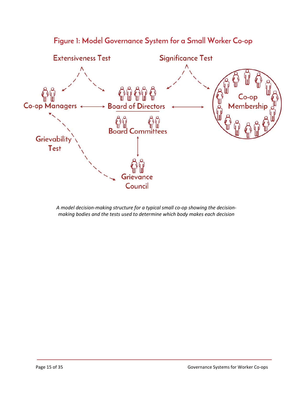

<span id="page-15-0"></span>**Figure 1: Model Governance System for a Small Worker Co-op**

*A model decision-making structure for a typical small co-op showing the decisionmaking bodies and the tests used to determine which body makes each decision*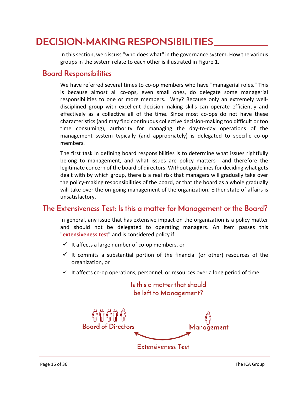# <span id="page-16-0"></span>**DECISION-MAKING RESPONSIBILITIES**

In this section, we discuss "who does what" in the governance system. How the various groups in the system relate to each other is illustrated in Figure 1.

#### **Board Responsibilities**

We have referred several times to co-op members who have "managerial roles." This is because almost all co-ops, even small ones, do delegate some managerial responsibilities to one or more members. Why? Because only an extremely welldisciplined group with excellent decision-making skills can operate efficiently and effectively as a collective all of the time. Since most co-ops do not have these characteristics (and may find continuous collective decision-making too difficult or too time consuming), authority for managing the day-to-day operations of the management system typically (and appropriately) is delegated to specific co-op members.

The first task in defining board responsibilities is to determine what issues rightfully belong to management, and what issues are policy matters-- and therefore the legitimate concern of the board of directors. Without guidelines for deciding what gets dealt with by which group, there is a real risk that managers will gradually take over the policy-making responsibilities of the board, or that the board as a whole gradually will take over the on-going management of the organization. Either state of affairs is unsatisfactory.

## <span id="page-16-1"></span>**The Extensiveness Test: Is this a matter for Management or the Board?**

In general, any issue that has extensive impact on the organization is a policy matter and should not be delegated to operating managers. An item passes this "**extensiveness test**" and is considered policy if:

- $\checkmark$  It affects a large number of co-op members, or
- $\checkmark$  It commits a substantial portion of the financial (or other) resources of the organization, or

Is this a matter that should

 $\checkmark$  It affects co-op operations, personnel, or resources over a long period of time.

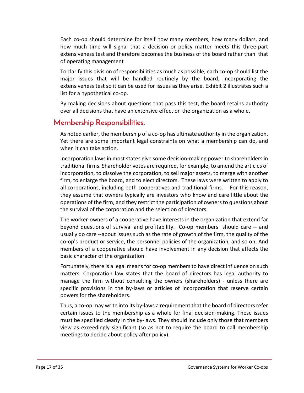Each co-op should determine for itself how many members, how many dollars, and how much time will signal that a decision or policy matter meets this three-part extensiveness test and therefore becomes the business of the board rather than that of operating management

To clarify this division of responsibilities as much as possible, each co-op should list the major issues that will be handled routinely by the board, incorporating the extensiveness test so it can be used for issues as they arise. Exhibit 2 illustrates such a list for a hypothetical co-op.

By making decisions about questions that pass this test, the board retains authority over all decisions that have an extensive effect on the organization as a whole.

#### **Membership Responsibilities.**

As noted earlier, the membership of a co-op has ultimate authority in the organization. Yet there are some important legal constraints on what a membership can do, and when it can take action.

Incorporation laws in most states give some decision-making power to shareholders in traditional firms. Shareholder votes are required, for example, to amend the articles of incorporation, to dissolve the corporation, to sell major assets, to merge with another firm, to enlarge the board, and to elect directors. These laws were written to apply to all corporations, including both cooperatives and traditional firms. For this reason, they assume that owners typically are investors who know and care little about the operations of the firm, and they restrict the participation of owners to questions about the survival of the corporation and the selection of directors.

The worker-owners of a cooperative have interests in the organization that extend far beyond questions of survival and profitability. Co-op members should care -- and usually do care --about issues such as the rate of growth of the firm, the quality of the co-op's product or service, the personnel policies of the organization, and so on. And members of a cooperative should have involvement in any decision that affects the basic character of the organization.

Fortunately, there is a legal means for co-op members to have direct influence on such matters. Corporation law states that the board of directors has legal authority to manage the firm without consulting the owners (shareholders) - unless there are specific provisions in the by-laws or articles of incorporation that reserve certain powers for the shareholders.

Thus, a co-op may write into its by-laws a requirement that the board of directors refer certain issues to the membership as a whole for final decision-making. These issues must be specified clearly in the by-laws. They should include only those that members view as exceedingly significant (so as not to require the board to call membership meetings to decide about policy after policy).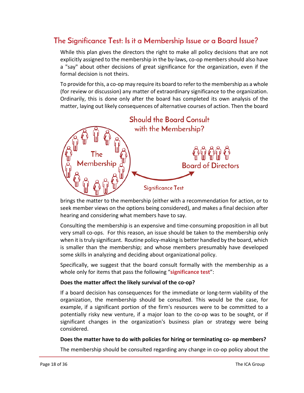## <span id="page-18-0"></span>**The Significance Test: Is it a Membership Issue or a Board Issue?**

While this plan gives the directors the right to make all policy decisions that are not explicitly assigned to the membership in the by-laws, co-op members should also have a "say" about other decisions of great significance for the organization, even if the formal decision is not theirs.

To provide for this, a co-op may require its board to refer to the membership as a whole (for review or discussion) any matter of extraordinary significance to the organization. Ordinarily, this is done only after the board has completed its own analysis of the matter, laying out likely consequences of alternative courses of action. Then the board



brings the matter to the membership (either with a recommendation for action, or to seek member views on the options being considered), and makes a final decision after hearing and considering what members have to say.

Consulting the membership is an expensive and time-consuming proposition in all but very small co-ops. For this reason, an issue should be taken to the membership only when it is truly significant. Routine policy-making is better handled by the board, which is smaller than the membership; and whose members presumably have developed some skills in analyzing and deciding about organizational policy.

Specifically, we suggest that the board consult formally with the membership as a whole only for items that pass the following "**significance test**":

#### **Does the matter affect the likely survival of the co-op?**

If a board decision has consequences for the immediate or long-term viability of the organization, the membership should be consulted. This would be the case, for example, if a significant portion of the firm's resources were to be committed to a potentially risky new venture, if a major loan to the co-op was to be sought, or if significant changes in the organization's business plan or strategy were being considered.

#### **Does the matter have to do with policies for hiring or terminating co- op members?**

The membership should be consulted regarding any change in co-op policy about the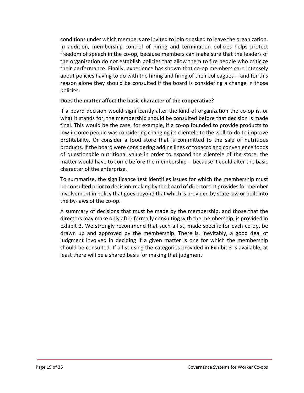conditions under which members are invited to join or asked to leave the organization. In addition, membership control of hiring and termination policies helps protect freedom of speech in the co-op, because members can make sure that the leaders of the organization do not establish policies that allow them to fire people who criticize their performance. Finally, experience has shown that co-op members care intensely about policies having to do with the hiring and firing of their colleagues -- and for this reason alone they should be consulted if the board is considering a change in those policies.

#### **Does the matter affect the basic character of the cooperative?**

If a board decision would significantly alter the kind of organization the co-op is, or what it stands for, the membership should be consulted before that decision is made final. This would be the case, for example, if a co-op founded to provide products to low-income people was considering changing its clientele to the well-to-do to improve profitability. Or consider a food store that is committed to the sale of nutritious products. If the board were considering adding lines of tobacco and convenience foods of questionable nutritional value in order to expand the clientele of the store, the matter would have to come before the membership -- because it could alter the basic character of the enterprise.

To summarize, the significance test identifies issues for which the membership must be consulted prior to decision-making by the board of directors. It provides for member involvement in policy that goes beyond that which is provided by state law or built into the by-laws of the co-op.

A summary of decisions that must be made by the membership, and those that the directors may make only after formally consulting with the membership, is provided in Exhibit 3. We strongly recommend that such a list, made specific for each co-op, be drawn up and approved by the membership. There is, inevitably, a good deal of judgment involved in deciding if a given matter is one for which the membership should be consulted. If a list using the categories provided in Exhibit 3 is available, at least there will be a shared basis for making that judgment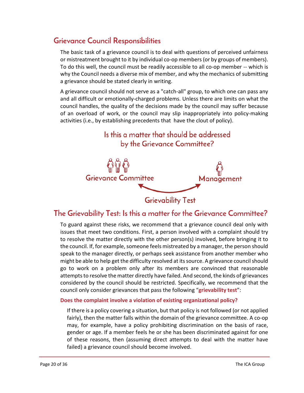## **Grievance Council Responsibilities**

The basic task of a grievance council is to deal with questions of perceived unfairness or mistreatment brought to it by individual co-op members(or by groups of members). To do this well, the council must be readily accessible to all co-op member -- which is why the Council needs a diverse mix of member, and why the mechanics of submitting a grievance should be stated clearly in writing.

A grievance council should not serve as a "catch-all" group, to which one can pass any and all difficult or emotionally-charged problems. Unless there are limits on what the council handles, the quality of the decisions made by the council may suffer because of an overload of work, or the council may slip inappropriately into policy-making activities (i.e., by establishing precedents that have the clout of policy).



#### <span id="page-20-0"></span>**The Grievability Test: Is this a matter for the Grievance Committee?**

To guard against these risks, we recommend that a grievance council deal only with issues that meet two conditions. First, a person involved with a complaint should try to resolve the matter directly with the other person(s) involved, before bringing it to the council. If, for example, someone feels mistreated by a manager, the person should speak to the manager directly, or perhaps seek assistance from another member who might be able to help get the difficulty resolved at its source. A grievance council should go to work on a problem only after its members are convinced that reasonable attempts to resolve the matter directly have failed. And second, the kinds of grievances considered by the council should be restricted. Specifically, we recommend that the council only consider grievances that pass the following "**grievability test**":

#### **Does the complaint involve a violation of existing organizational policy?**

If there is a policy covering a situation, but that policy is not followed (or not applied fairly), then the matter falls within the domain of the grievance committee. A co-op may, for example, have a policy prohibiting discrimination on the basis of race, gender or age. If a member feels he or she has been discriminated against for one of these reasons, then (assuming direct attempts to deal with the matter have failed) a grievance council should become involved.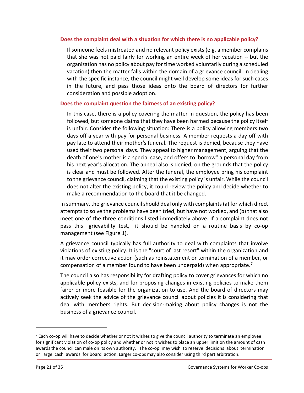#### **Does the complaint deal with a situation for which there is no applicable policy?**

If someone feels mistreated and no relevant policy exists (e.g. a member complains that she was not paid fairly for working an entire week of her vacation -- but the organization has no policy about pay for time worked voluntarily during a scheduled vacation) then the matter falls within the domain of a grievance council. In dealing with the specific instance, the council might well develop some ideas for such cases in the future, and pass those ideas onto the board of directors for further consideration and possible adoption.

#### **Does the complaint question the fairness of an existing policy?**

In this case, there is a policy covering the matter in question, the policy has been followed, but someone claims that they have been harmed because the policy itself is unfair. Consider the following situation: There is a policy allowing members two days off a year with pay for personal business. A member requests a day off with pay late to attend their mother's funeral. The request is denied, because they have used their two personal days. They appeal to higher management, arguing that the death of one's mother is a special case, and offers to 'borrow" a personal day from his next year's allocation. The appeal also is denied, on the grounds that the policy is clear and must be followed. After the funeral, the employee bring his complaint to the grievance council, claiming that the existing policy is unfair. While the council does not alter the existing policy, it could review the policy and decide whether to make a recommendation to the board that it be changed.

In summary, the grievance council should deal only with complaints (a) for which direct attempts to solve the problems have been tried, but have not worked, and (b) that also meet one of the three conditions listed immediately above. If a complaint does not pass this "grievability test," it should be handled on a routine basis by co-op management (see Figure 1).

A grievance council typically has full authority to deal with complaints that involve violations of existing policy. It is the "court of last resort" within the organization and it may order corrective action (such as reinstatement or termination of a member, or compensation of a member found to have been underpaid) when appropriate.[7](#page-21-0)

The council also has responsibility for drafting policy to cover grievances for which no applicable policy exists, and for proposing changes in existing policies to make them fairer or more feasible for the organization to use. And the board of directors may actively seek the advice of the grievance council about policies it is considering that deal with members rights. But decision-making about policy changes is not the business of a grievance council.

<span id="page-21-0"></span> $<sup>7</sup>$  Each co-op will have to decide whether or not it wishes to give the council authority to terminate an employee</sup> for significant violation of co-op policy and whether or not it wishes to place an upper limit on the amount of cash awards the council can male on its own authority. The co-op may wish to reserve decisions about termination or large cash awards for board action. Larger co-ops may also consider using third part arbitration.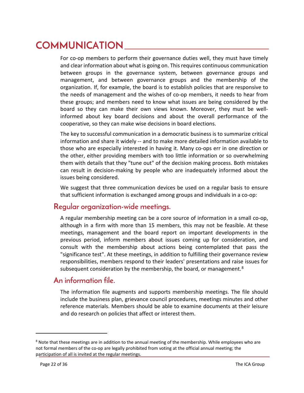# <span id="page-22-0"></span>**COMMUNICATION**

For co-op members to perform their governance duties well, they must have timely and clear information about what is going on. This requires continuous communication between groups in the governance system, between governance groups and management, and between governance groups and the membership of the organization. If, for example, the board is to establish policies that are responsive to the needs of management and the wishes of co-op members, it needs to hear from these groups; and members need to know what issues are being considered by the board so they can make their own views known. Moreover, they must be wellinformed about key board decisions and about the overall performance of the cooperative, so they can make wise decisions in board elections.

The key to successful communication in a democratic business is to summarize critical information and share it widely -- and to make more detailed information available to those who are especially interested in having it. Many co-ops err in one direction or the other, either providing members with too little information or so overwhelming them with details that they "tune out" of the decision making process. Both mistakes can result in decision-making by people who are inadequately informed about the issues being considered.

We suggest that three communication devices be used on a regular basis to ensure that sufficient information is exchanged among groups and individuals in a co-op:

#### **Regular organization-wide meetings.**

A regular membership meeting can be a core source of information in a small co-op, although in a firm with more than 15 members, this may not be feasible. At these meetings, management and the board report on important developments in the previous period, inform members about issues coming up for consideration, and consult with the membership about actions being contemplated that pass the "significance test". At these meetings, in addition to fulfilling their governance review responsibilities, members respond to their leaders' presentations and raise issues for subsequent consideration by the membership, the board, or management.<sup>[8](#page-22-1)</sup>

#### **An information file.**

The information file augments and supports membership meetings. The file should include the business plan, grievance council procedures, meetings minutes and other reference materials. Members should be able to examine documents at their leisure and do research on policies that affect or interest them.

<span id="page-22-1"></span><sup>&</sup>lt;sup>8</sup> Note that these meetings are in addition to the annual meeting of the membership. While employees who are not formal members of the co-op are legally prohibited from voting at the official annual meeting; the participation of all is invited at the regular meetings.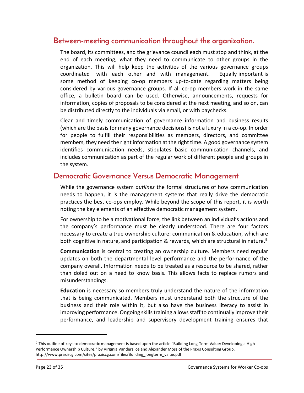#### **Between-meeting communication throughout the organization.**

The board, its committees, and the grievance council each must stop and think, at the end of each meeting, what they need to communicate to other groups in the organization. This will help keep the activities of the various governance groups coordinated with each other and with management. Equally important is some method of keeping co-op members up-to-date regarding matters being considered by various governance groups. If all co-op members work in the same office, a bulletin board can be used. Otherwise, announcements, requests for information, copies of proposals to be considered at the next meeting, and so on, can be distributed directly to the individuals via email, or with paychecks.

Clear and timely communication of governance information and business results (which are the basis for many governance decisions) is not a luxury in a co-op. In order for people to fulfill their responsibilities as members, directors, and committee members, they need the right information at the right time. A good governance system identifies communication needs, stipulates basic communication channels, and includes communication as part of the regular work of different people and groups in the system.

#### **Democratic Governance Versus Democratic Management**

While the governance system *outlines* the formal structures of how communication needs to happen, it is the management systems that really drive the democratic practices the best co-ops employ. While beyond the scope of this report, it is worth noting the key elements of an effective democratic management system.

For ownership to be a motivational force, the link between an individual's actions and the company's performance must be clearly understood. There are four factors necessary to create a true ownership culture: communication & education, which are both cognitive in nature, and participation & rewards, which are structural in nature.<sup>[9](#page-23-0)</sup>

**Communication** is central to creating an ownership culture. Members need regular updates on both the departmental level performance and the performance of the company overall. Information needs to be treated as a resource to be shared, rather than doled out on a need to know basis. This allows facts to replace rumors and misunderstandings.

**Education** is necessary so members truly understand the nature of the information that is being communicated. Members must understand both the structure of the business and their role within it, but also have the business literacy to assist in improving performance. Ongoing skills training allows staff to continually improve their performance, and leadership and supervisory development training ensures that

<span id="page-23-0"></span><sup>9</sup> This outline of keys to democratic management is based upon the article "Building Long-Term Value: Developing a High-Performance Ownership Culture," by Virginia Vanderslice and Alexander Moss of the Praxis Consulting Group. http://www.praxiscg.com/sites/praxiscg.com/files/Building\_longterm\_value.pdf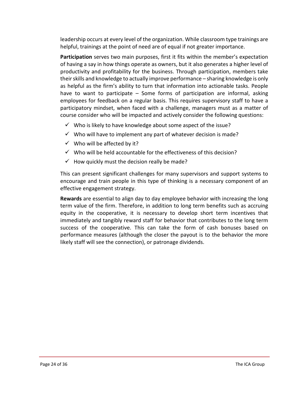leadership occurs at every level of the organization. While classroom type trainings are helpful, trainings at the point of need are of equal if not greater importance.

**Participation** serves two main purposes, first it fits within the member's expectation of having a say in how things operate as owners, but it also generates a higher level of productivity and profitability for the business. Through participation, members take their skills and knowledge to actually improve performance – sharing knowledge is only as helpful as the firm's ability to turn that information into actionable tasks. People have to want to participate – Some forms of participation are informal, asking employees for feedback on a regular basis. This requires supervisory staff to have a participatory mindset, when faced with a challenge, managers must as a matter of course consider who will be impacted and actively consider the following questions:

- $\checkmark$  Who is likely to have knowledge about some aspect of the issue?
- $\checkmark$  Who will have to implement any part of whatever decision is made?
- $\checkmark$  Who will be affected by it?
- $\checkmark$  Who will be held accountable for the effectiveness of this decision?
- $\checkmark$  How quickly must the decision really be made?

This can present significant challenges for many supervisors and support systems to encourage and train people in this type of thinking is a necessary component of an effective engagement strategy.

**Rewards** are essential to align day to day employee behavior with increasing the long term value of the firm. Therefore, in addition to long term benefits such as accruing equity in the cooperative, it is necessary to develop short term incentives that immediately and tangibly reward staff for behavior that contributes to the long term success of the cooperative. This can take the form of cash bonuses based on performance measures (although the closer the payout is to the behavior the more likely staff will see the connection), or patronage dividends.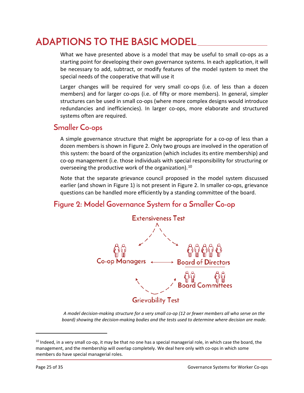# <span id="page-25-0"></span>**ADAPTIONS TO THE BASIC MODEL**

What we have presented above is a model that may be useful to small co-ops as a starting point for developing their own governance systems. In each application, it will be necessary to add, subtract, or modify features of the model system to meet the special needs of the cooperative that will use it

Larger changes will be required for very small co-ops (i.e. of less than a dozen members) and for larger co-ops (i.e. of fifty or more members). In general, simpler structures can be used in small co-ops (where more complex designs would introduce redundancies and inefficiencies). In larger co-ops, more elaborate and structured systems often are required.

## <span id="page-25-1"></span>**Smaller Co-ops**

A simple governance structure that might be appropriate for a co-op of less than a dozen members is shown in Figure 2. Only two groups are involved in the operation of this system: the board of the organization (which includes its entire membership) and co-op management (i.e. those individuals with special responsibility for structuring or overseeing the productive work of the organization).<sup>[10](#page-25-3)</sup>

Note that the separate grievance council proposed in the model system discussed earlier (and shown in Figure 1) is not present in Figure 2. In smaller co-ops, grievance questions can be handled more efficiently by a standing committee of the board.

## <span id="page-25-2"></span>**Figure 2: Model Governance System for a Smaller Co-op**



*A model decision-making structure for a very small co-op (12 or fewer members all who serve on the board) showing the decision-making bodies and the tests used to determine where decision are made.*

<span id="page-25-3"></span> $10$  Indeed, in a very small co-op, it may be that no one has a special managerial role, in which case the board, the management, and the membership will overlap completely. We deal here only with co-ops in which some members do have special managerial roles.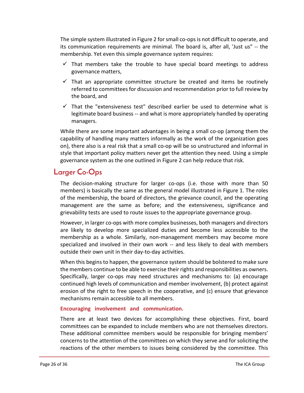The simple system illustrated in Figure 2 for small co-ops is not difficult to operate, and its communication requirements are minimal. The board is, after all, 'Just us" -- the membership. Yet even this simple governance system requires:

- $\checkmark$  That members take the trouble to have special board meetings to address governance matters,
- $\checkmark$  That an appropriate committee structure be created and items be routinely referred to committees for discussion and recommendation prior to full review by the board, and
- $\checkmark$  That the "extensiveness test" described earlier be used to determine what is legitimate board business -- and what is more appropriately handled by operating managers.

While there are some important advantages in being a small co-op (among them the capability of handling many matters informally as the work of the organization goes on), there also is a real risk that a small co-op will be so unstructured and informal in style that important policy matters never get the attention they need. Using a simple governance system as the one outlined in Figure 2 can help reduce that risk.

#### <span id="page-26-0"></span>**Larger Co-Ops**

The decision-making structure for larger co-ops (i.e. those with more than 50 members) is basically the same as the general model illustrated in Figure 1. The roles of the membership, the board of directors, the grievance council, and the operating management are the same as before; and the extensiveness, significance and grievability tests are used to route issues to the appropriate governance group.

However, in larger co-ops with more complex businesses, both managers and directors are likely to develop more specialized duties and become less accessible to the membership as a whole. Similarly, non-management members may become more specialized and involved in their own work -- and less likely to deal with members outside their own unit in their day-to-day activities.

When this begins to happen, the governance system should be bolstered to make sure the members continue to be able to exercise their rights and responsibilities as owners. Specifically, larger co-ops may need structures and mechanisms to: (a) encourage continued high levels of communication and member involvement, (b) protect against erosion of the right to free speech in the cooperative, and (c) ensure that grievance mechanisms remain accessible to all members.

#### **Encouraging involvement and communication.**

There are at least two devices for accomplishing these objectives. First, board committees can be expanded to include members who are not themselves directors. These additional committee members would be responsible for bringing members' concerns to the attention of the committees on which they serve and for soliciting the reactions of the other members to issues being considered by the committee. This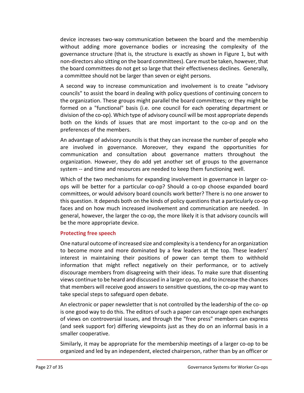device increases two-way communication between the board and the membership without adding more governance bodies or increasing the complexity of the governance structure (that is, the structure is exactly as shown in Figure 1, but with non-directors also sitting on the board committees). Care must be taken, however, that the board committees do not get so large that their effectiveness declines. Generally, a committee should not be larger than seven or eight persons.

A second way to increase communication and involvement is to create "advisory councils" to assist the board in dealing with policy questions of continuing concern to the organization. These groups might parallel the board committees; or they might be formed on a "functional" basis (i.e. one council for each operating department or division of the co-op). Which type of advisory council will be most appropriate depends both on the kinds of issues that are most important to the co-op and on the preferences of the members.

An advantage of advisory councils is that they can increase the number of people who are involved in governance. Moreover, they expand the opportunities for communication and consultation about governance matters throughout the organization. However, they do add yet another set of groups to the governance system -- and time and resources are needed to keep them functioning well.

Which of the two mechanisms for expanding involvement in governance in larger coops will be better for a particular co-op? Should a co-op choose expanded board committees, or would advisory board councils work better? There is no one answer to this question. It depends both on the kinds of policy questions that a particularly co-op faces and on how much increased involvement and communication are needed. In general, however, the larger the co-op, the more likely it is that advisory councils will be the more appropriate device.

#### **Protecting free speech**

One natural outcome of increased size and complexity is a tendency for an organization to become more and more dominated by a few leaders at the top. These leaders' interest in maintaining their positions of power can tempt them to withhold information that might reflect negatively on their performance, or to actively discourage members from disagreeing with their ideas. To make sure that dissenting views continue to be heard and discussed in a larger co-op, and to increase the chances that members will receive good answers to sensitive questions, the co-op may want to take special steps to safeguard open debate.

An electronic or paper newsletter that is not controlled by the leadership of the co- op is one good way to do this. The editors of such a paper can encourage open exchanges of views on controversial issues, and through the "free press" members can express (and seek support for) differing viewpoints just as they do on an informal basis in a smaller cooperative.

Similarly, it may be appropriate for the membership meetings of a larger co-op to be organized and led by an independent, elected chairperson, rather than by an officer or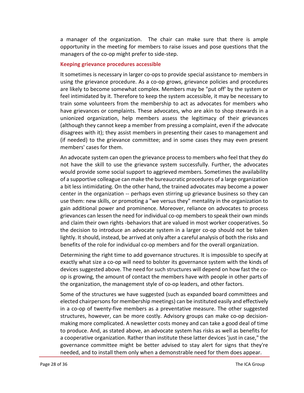a manager of the organization. The chair can make sure that there is ample opportunity in the meeting for members to raise issues and pose questions that the managers of the co-op might prefer to side-step.

#### **Keeping grievance procedures accessible**

It sometimes is necessary in larger co-ops to provide special assistance to· members in using the grievance procedure. As a co-op grows, grievance policies and procedures are likely to become somewhat complex. Members may be "put off' by the system or feel intimidated by it. Therefore to keep the system accessible, it may be necessary to train some volunteers from the membership to act as advocates for members who have grievances or complaints. These advocates, who are akin to shop stewards in a unionized organization, help members assess the legitimacy of their grievances (although they cannot keep a member from pressing a complaint, even if the advocate disagrees with it); they assist members in presenting their cases to management and (if needed) to the grievance committee; and in some cases they may even present members' cases for them.

An advocate system can open the grievance process to members who feel that they do not have the skill to use the grievance system successfully. Further, the advocates would provide some social support to aggrieved members. Sometimes the availability of a supportive colleague can make the bureaucratic procedures of a large organization a bit less intimidating. On the other hand, the trained advocates may become a power center in the organization -- perhaps even stirring up grievance business so they can use them: new skills, or promoting a "we versus they" mentality in the organization to gain additional power and prominence. Moreover, reliance on advocates to process grievances can lessen the need for individual co-op members to speak their own minds and claim their own rights -behaviors that are valued in most worker cooperatives. So the decision to introduce an advocate system in a larger co-op should not be taken lightly. It should, instead, be arrived at only after a careful analysis of both the risks and benefits of the role for individual co-op members and for the overall organization.

Determining the right time to add governance structures. It is impossible to specify at exactly what size a co-op will need to bolster its governance system with the kinds of devices suggested above. The need for such structures will depend on how fast the coop is growing, the amount of contact the members have with people in other parts of the organization, the management style of co-op leaders, and other factors.

Some of the structures we have suggested (such as expanded board committees and elected chairpersons for membership meetings) can be instituted easily and effectively in a co-op of twenty-five members as a preventative measure. The other suggested structures, however, can be more costly. Advisory groups can make co-op decisionmaking more complicated. A newsletter costs money and can take a good deal of time to produce. And, as stated above, an advocate system has risks as well as benefits for a cooperative organization. Rather than institute these latter devices 'just in case," the governance committee might be better advised to stay alert for signs that they're needed, and to install them only when a demonstrable need for them does appear.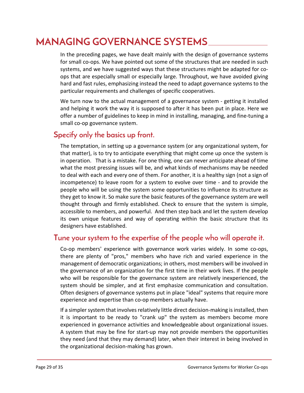# <span id="page-29-0"></span>**MANAGING GOVERNANCE SYSTEMS**

In the preceding pages, we have dealt mainly with the design of governance systems for small co-ops. We have pointed out some of the structures that are needed in such systems, and we have suggested ways that these structures might be adapted for coops that are especially small or especially large. Throughout, we have avoided giving hard and fast rules, emphasizing instead the need to adapt governance systems to the particular requirements and challenges of specific cooperatives.

We turn now to the actual management of a governance system - getting it installed and helping it work the way it is supposed to after it has been put in place. Here we offer a number of guidelines to keep in mind in installing, managing, and fine-tuning a small co-op governance system.

## **Specify only the basics up front.**

The temptation, in setting up a governance system (or any organizational system, for that matter), is to try to anticipate everything that might come up once the system is in operation. That is a mistake. For one thing, one can never anticipate ahead of time what the most pressing issues will be, and what kinds of mechanisms may be needed to deal with each and every one of them. For another, it is a healthy sign (not a sign of incompetence) to leave room for a system to evolve over time - and to provide the people who will be using the system some opportunities to influence its structure as they get to know it. So make sure the basic features of the governance system are well thought through and firmly established. Check to ensure that the system is simple, accessible to members, and powerful. And then step back and let the system develop its own unique features and way of operating within the basic structure that its designers have established.

#### **Tune your system to the expertise of the people who will operate it.**

Co-op members' experience with governance work varies widely. In some co-ops, there are plenty of "pros," members who have rich and varied experience in the management of democratic organizations; in others, most members will be involved in the governance of an organization for the first time in their work lives. If the people who will be responsible for the governance system are relatively inexperienced, the system should be simpler, and at first emphasize communication and consultation. Often designers of governance systems put in place "ideal" systems that require more experience and expertise than co-op members actually have.

If a simpler system that involves relatively little direct decision-making is installed, then it is important to be ready to "crank up" the system as members become more experienced in governance activities and knowledgeable about organizational issues. A system that may be fine for start-up may not provide members the opportunities they need (and that they may demand) later, when their interest in being involved in the organizational decision-making has grown.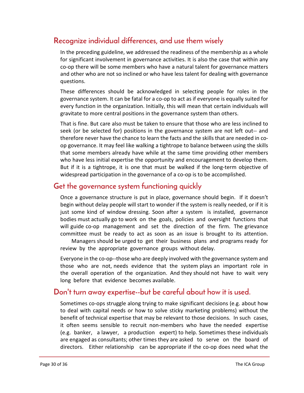## **Recognize individual differences, and use them wisely**

In the preceding guideline, we addressed the readiness of the membership as a whole for significant involvement in governance activities. It is also the case that within any co-op there will be some members who have a natural talent for governance matters and other who are not so inclined or who have less talent for dealing with governance questions.

These differences should be acknowledged in selecting people for roles in the governance system. It can be fatal for a co-op to act as if everyone is equally suited for every function in the organization. Initially, this will mean that certain individuals will gravitate to more central positions in the governance system than others.

That is fine. But care also must be taken to ensure that those who are less inclined to seek (or be selected for) positions in the governance system are not left out-- and therefore never have the chance to learn the facts and the skills that are needed in coop governance. It may feel like walking a tightrope to balance between using the skills that some members already have while at the same time providing other members who have less initial expertise the opportunity and encouragement to develop them. But if it is a tightrope, it is one that must be walked if the long-term objective of widespread participation in the governance of a co-op is to be accomplished.

#### **Get the governance system functioning quickly**

Once a governance structure is put in place, governance should begin. If it doesn't begin without delay people will start to wonder if the system is really needed, or if it is just some kind of window dressing. Soon after a system is installed, governance bodies must actually go to work on the goals, policies and oversight functions that will guide co-op management and set the direction of the firm. The grievance committee must be ready to act as soon as an issue is brought to its attention.

Managers should be urged to get their business plans and programs ready for review by the appropriate governance groups without delay.

Everyone in the co-op--those who are deeply involved with the governance system and those who are not, needs evidence that the system plays an important role in the overall operation of the organization. And they should not have to wait very long before that evidence becomes available.

#### **Don't turn away expertise--but be careful about how it is used.**

Sometimes co-ops struggle along trying to make significant decisions (e.g. about how to deal with capital needs or how to solve sticky marketing problems) without the benefit of technical expertise that may be relevant to those decisions. In such cases, it often seems sensible to recruit non-members who have the needed expertise (e.g. banker, a lawyer, a production expert) to help. Sometimes these individuals are engaged as consultants; other times they are asked to serve on the board of directors. Either relationship can be appropriate if the co-op does need what the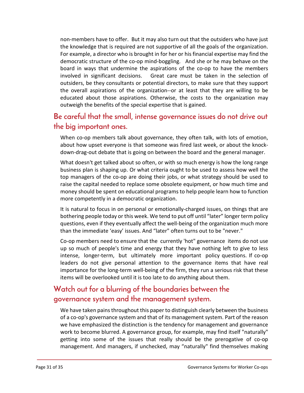non-members have to offer. But it may also turn out that the outsiders who have just the knowledge that is required are not supportive of all the goals of the organization. For example, a director who is brought in for her or his financial expertise may find the democratic structure of the co-op mind-boggling. And she or he may behave on the board in ways that undermine the aspirations of the co-op to have the members involved in significant decisions. Great care must be taken in the selection of outsiders, be they consultants or potential directors, to make sure that they support the overall aspirations of the organization--or at least that they are willing to be educated about those aspirations. Otherwise, the costs to the organization may outweigh the benefits of the special expertise that is gained.

#### **Be careful that the small, intense governance issues do not drive out the big important ones.**

When co-op members talk about governance, they often talk, with lots of emotion, about how upset everyone is that someone was fired last week, or about the knockdown-drag-out debate that is going on between the board and the general manager.

What doesn't get talked about so often, or with so much energy is how the long range business plan is shaping up. Or what criteria ought to be used to assess how well the top managers of the co-op are doing their jobs, or what strategy should be used to raise the capital needed to replace some obsolete equipment, or how much time and money should be spent on educational programs to help people learn how to function more competently in a democratic organization.

It is natural to focus in on personal or emotionally-charged issues, on things that are bothering people today or this week. We tend to put off until "later" longer term policy questions, even if they eventually affect the well-being of the organization much more than the immediate 'easy' issues. And "later" often turns out to be "never."

Co-op members need to ensure that the currently 'hot" governance items do not use up so much of people's time and energy that they have nothing left to give to less intense, longer-term, but ultimately more important policy questions. If co-op leaders do not give personal attention to the governance items that have real importance for the long-term well-being of the firm, they run a serious risk that these items will be overlooked until it is too late to do anything about them.

## **Watch out for a blurring of the boundaries between the governance system and the management system.**

We have taken pains throughout this paper to distinguish clearly between the business of a co-op's governance system and that of its management system. Part of the reason we have emphasized the distinction is the tendency for management and governance work to become blurred. A governance group, for example, may find itself "naturally" getting into some of the issues that really should be the prerogative of co-op management. And managers, if unchecked, may "naturally" find themselves making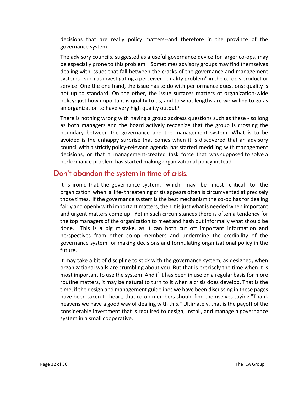decisions that are really policy matters--and therefore in the province of the governance system.

The advisory councils, suggested as a useful governance device for larger co-ops, may be especially prone to this problem. Sometimes advisory groups may find themselves dealing with issues that fall between the cracks of the governance and management systems - such as investigating a perceived "quality problem" in the co-op's product or service. One the one hand, the issue has to do with performance questions: quality is not up to standard. On the other, the issue surfaces matters of organization-wide policy: just how important is quality to us, and to what lengths are we willing to go as an organization to have very high quality output?

There is nothing wrong with having a group address questions such as these - so long as both managers and the board actively recognize that the group is crossing the boundary between the governance and the management system. What is to be avoided is the unhappy surprise that comes when it is discovered that an advisory council with a strictly policy-relevant agenda has started meddling with management decisions, or that a management-created task force that was supposed to solve a performance problem has started making organizational policy instead.

#### **Don't abandon the system in time of crisis.**

It is ironic that the governance system, which may be most critical to the organization when a life- threatening crisis appears often is circumvented at precisely those times. If the governance system is the best mechanism the co-op has for dealing fairly and openly with important matters, then it is just what is needed when important and urgent matters come up. Yet in such circumstances there is often a tendency for the top managers of the organization to meet and hash out informally what should be done. This is a big mistake, as it can both cut off important information and perspectives from other co-op members and undermine the credibility of the governance system for making decisions and formulating organizational policy in the future.

It may take a bit of discipline to stick with the governance system, as designed, when organizational walls are crumbling about you. But that is precisely the time when it is most important to use the system. And if it has been in use on a regular basis for more routine matters, it may be natural to turn to it when a crisis does develop. That is the time, if the design and management guidelines we have been discussing in these pages have been taken to heart, that co-op members should find themselves saying "Thank heavens we have a good way of dealing with this." Ultimately, that is the payoff of the considerable investment that is required to design, install, and manage a governance system in a small cooperative.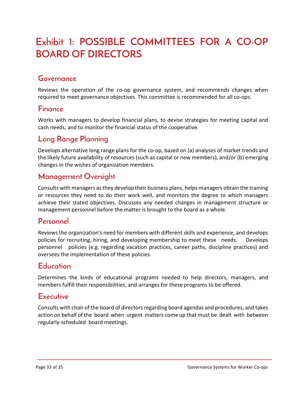# <span id="page-33-0"></span>**Exhibit 1: POSSIBLE COMMITTEES FOR A CO-OP BOARD OF DIRECTORS**

## **Governance**

Reviews the operation of the co-op governance system, and recommends changes when required to meet governance objectives. This committee is recommended for all co-ops.

#### **Finance**

Works with managers to develop financial plans, to devise strategies for meeting capital and cash needs, and to monitor the financial status of the cooperative.

## **Long Range Planning**

Develops alternative long range plans for the co-op, based on (a) analyses of market trends and the likely future availability of resources (such as capital or new members), and/or (b) emerging changes in the wishes of organization members.

#### **Management Oversight**

Consults with managers as they develop their business plans, helps managers obtain the training or resources they need to do their work well, and monitors the degree to which managers achieve their stated objectives. Discusses any needed changes in management structure or management personnel before the matter is brought to the board as a whole.

#### **Personnel**

Reviews the organization's need for members with different skills and experience, and develops policies for recruiting, hiring, and developing membership to meet these needs. Develops personnel policies (e.g. regarding vacation practices, career paths, discipline practices) and oversees the implementation of these policies.

#### **Education**

Determines the kinds of educational programs needed to help directors, managers, and members fulfill their responsibilities, and arranges for these programs to be offered.

#### **Executive**

Consults with chair of the board of directors regarding board agendas and procedures, and takes action on behalf of the board when urgent matters come up that must be dealt with between regularly-scheduled board meetings.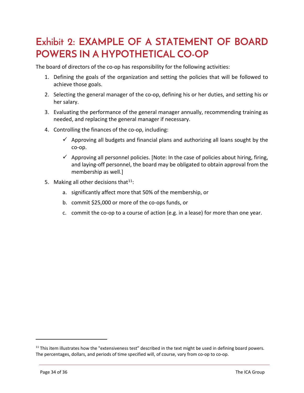# <span id="page-34-0"></span>**Exhibit 2: EXAMPLE OF A STATEMENT OF BOARD POWERS IN A HYPOTHETICAL CO-OP**

The board of directors of the co-op has responsibility for the following activities:

- 1. Defining the goals of the organization and setting the policies that will be followed to achieve those goals.
- 2. Selecting the general manager of the co-op, defining his or her duties, and setting his or her salary.
- 3. Evaluating the performance of the general manager annually, recommending training as needed, and replacing the general manager if necessary.
- 4. Controlling the finances of the co-op, including:
	- $\checkmark$  Approving all budgets and financial plans and authorizing all loans sought by the co-op.
	- $\checkmark$  Approving all personnel policies. [Note: In the case of policies about hiring, firing, and laying-off personnel, the board may be obligated to obtain approval from the membership as well.]
- 5. Making all other decisions that  $11$ :
	- a. significantly affect more that 50% of the membership, or
	- b. commit \$25,000 or more of the co-ops funds, or
	- c. commit the co-op to a course of action (e.g. in a lease) for more than one year.

<span id="page-34-1"></span> $11$  This item illustrates how the "extensiveness test" described in the text might be used in defining board powers. The percentages, dollars, and periods of time specified will, of course, vary from co-op to co-op.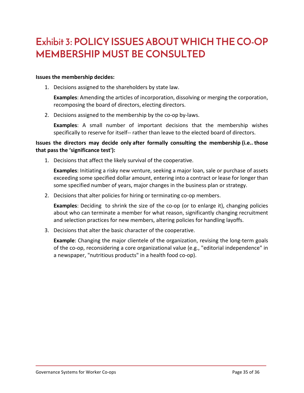# <span id="page-35-0"></span>**Exhibit 3: POLICY ISSUES ABOUT WHICH THE CO-OP MEMBERSHIP MUST BE CONSULTED**

#### **Issues the membership decides:**

1. Decisions assigned to the shareholders by state law.

**Examples**: Amending the articles of incorporation, dissolving or merging the corporation, recomposing the board of directors, electing directors.

2. Decisions assigned to the membership by the co-op by-laws.

**Examples**: A small number of important decisions that the membership wishes specifically to reserve for itself-- rather than leave to the elected board of directors.

#### **Issues the directors may decide only after formally consulting the membership (i.e.. those that pass the 'significance test'):**

1. Decisions that affect the likely survival of the cooperative.

**Examples**: Initiating a risky new venture, seeking a major loan, sale or purchase of assets exceeding some specified dollar amount, entering into a contract or lease for longer than some specified number of years, major changes in the business plan or strategy.

2. Decisions that alter policies for hiring or terminating co-op members.

**Examples**: Deciding to shrink the size of the co-op (or to enlarge it), changing policies about who can terminate a member for what reason, significantly changing recruitment and selection practices for new members, altering policies for handling layoffs.

3. Decisions that alter the basic character of the cooperative.

**Example**: Changing the major clientele of the organization, revising the long-term goals of the co-op, reconsidering a core organizational value (e.g., "editorial independence" in a newspaper, "nutritious products" in a health food co-op).